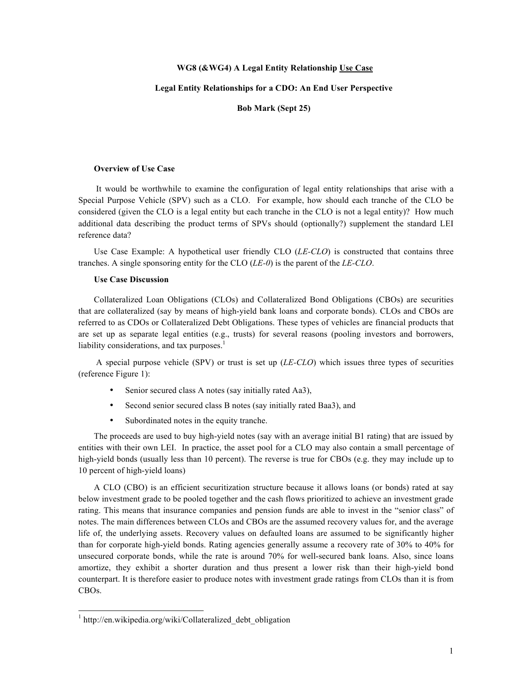## **WG8 (&WG4) A Legal Entity Relationship Use Case**

## **Legal Entity Relationships for a CDO: An End User Perspective**

**Bob Mark (Sept 25)**

## **Overview of Use Case**

 It would be worthwhile to examine the configuration of legal entity relationships that arise with a Special Purpose Vehicle (SPV) such as a CLO. For example, how should each tranche of the CLO be considered (given the CLO is a legal entity but each tranche in the CLO is not a legal entity)? How much additional data describing the product terms of SPVs should (optionally?) supplement the standard LEI reference data?

Use Case Example: A hypothetical user friendly CLO (*LE-CLO*) is constructed that contains three tranches. A single sponsoring entity for the CLO (*LE-0*) is the parent of the *LE-CLO*.

## **Use Case Discussion**

Collateralized Loan Obligations (CLOs) and Collateralized Bond Obligations (CBOs) are securities that are collateralized (say by means of high-yield bank loans and corporate bonds). CLOs and CBOs are referred to as CDOs or Collateralized Debt Obligations. These types of vehicles are financial products that are set up as separate legal entities (e.g., trusts) for several reasons (pooling investors and borrowers, liability considerations, and tax purposes. $<sup>1</sup>$ </sup>

 A special purpose vehicle (SPV) or trust is set up (*LE-CLO*) which issues three types of securities (reference Figure 1):

- Senior secured class A notes (say initially rated Aa3),
- Second senior secured class B notes (say initially rated Baa3), and
- Subordinated notes in the equity tranche.

The proceeds are used to buy high-yield notes (say with an average initial B1 rating) that are issued by entities with their own LEI. In practice, the asset pool for a CLO may also contain a small percentage of high-yield bonds (usually less than 10 percent). The reverse is true for CBOs (e.g. they may include up to 10 percent of high-yield loans)

A CLO (CBO) is an efficient securitization structure because it allows loans (or bonds) rated at say below investment grade to be pooled together and the cash flows prioritized to achieve an investment grade rating. This means that insurance companies and pension funds are able to invest in the "senior class" of notes. The main differences between CLOs and CBOs are the assumed recovery values for, and the average life of, the underlying assets. Recovery values on defaulted loans are assumed to be significantly higher than for corporate high-yield bonds. Rating agencies generally assume a recovery rate of 30% to 40% for unsecured corporate bonds, while the rate is around 70% for well-secured bank loans. Also, since loans amortize, they exhibit a shorter duration and thus present a lower risk than their high-yield bond counterpart. It is therefore easier to produce notes with investment grade ratings from CLOs than it is from CBOs.

 $1$  http://en.wikipedia.org/wiki/Collateralized debt obligation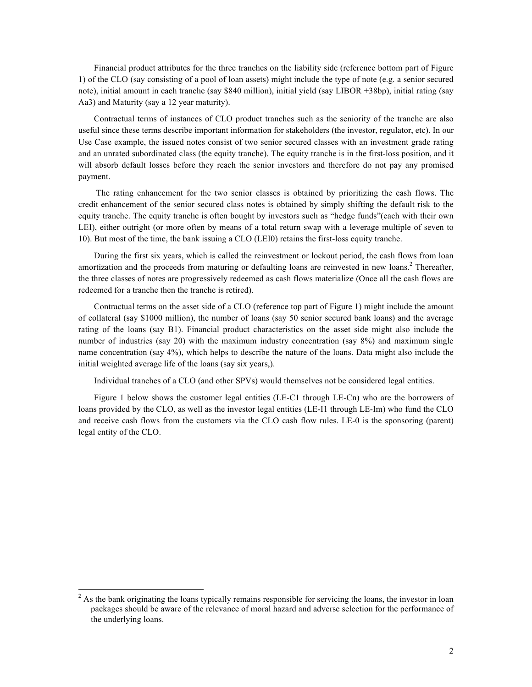Financial product attributes for the three tranches on the liability side (reference bottom part of Figure 1) of the CLO (say consisting of a pool of loan assets) might include the type of note (e.g. a senior secured note), initial amount in each tranche (say \$840 million), initial yield (say LIBOR +38bp), initial rating (say Aa3) and Maturity (say a 12 year maturity).

Contractual terms of instances of CLO product tranches such as the seniority of the tranche are also useful since these terms describe important information for stakeholders (the investor, regulator, etc). In our Use Case example, the issued notes consist of two senior secured classes with an investment grade rating and an unrated subordinated class (the equity tranche). The equity tranche is in the first-loss position, and it will absorb default losses before they reach the senior investors and therefore do not pay any promised payment.

 The rating enhancement for the two senior classes is obtained by prioritizing the cash flows. The credit enhancement of the senior secured class notes is obtained by simply shifting the default risk to the equity tranche. The equity tranche is often bought by investors such as "hedge funds"(each with their own LEI), either outright (or more often by means of a total return swap with a leverage multiple of seven to 10). But most of the time, the bank issuing a CLO (LEI0) retains the first-loss equity tranche.

During the first six years, which is called the reinvestment or lockout period, the cash flows from loan amortization and the proceeds from maturing or defaulting loans are reinvested in new loans.<sup>2</sup> Thereafter, the three classes of notes are progressively redeemed as cash flows materialize (Once all the cash flows are redeemed for a tranche then the tranche is retired).

Contractual terms on the asset side of a CLO (reference top part of Figure 1) might include the amount of collateral (say \$1000 million), the number of loans (say 50 senior secured bank loans) and the average rating of the loans (say B1). Financial product characteristics on the asset side might also include the number of industries (say 20) with the maximum industry concentration (say 8%) and maximum single name concentration (say 4%), which helps to describe the nature of the loans. Data might also include the initial weighted average life of the loans (say six years,).

Individual tranches of a CLO (and other SPVs) would themselves not be considered legal entities.

Figure 1 below shows the customer legal entities (LE-C1 through LE-Cn) who are the borrowers of loans provided by the CLO, as well as the investor legal entities (LE-I1 through LE-Im) who fund the CLO and receive cash flows from the customers via the CLO cash flow rules. LE-0 is the sponsoring (parent) legal entity of the CLO.

<sup>&</sup>lt;sup>2</sup> As the bank originating the loans typically remains responsible for servicing the loans, the investor in loan packages should be aware of the relevance of moral hazard and adverse selection for the performance of the underlying loans.